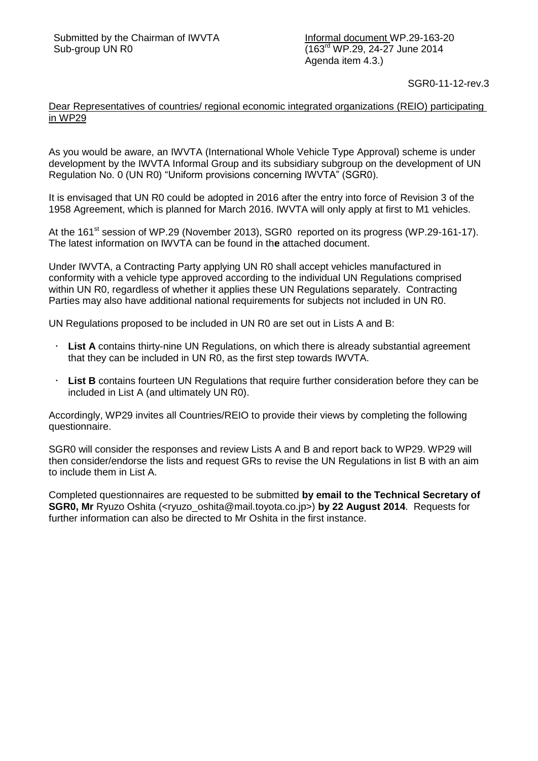Informal document WP.29-163-20 (163rd WP.29, 24-27 June 2014 Agenda item 4.3.)

SGR0-11-12-rev.3

## Dear Representatives of countries/ regional economic integrated organizations (REIO) participating in WP29

As you would be aware, an IWVTA (International Whole Vehicle Type Approval) scheme is under development by the IWVTA Informal Group and its subsidiary subgroup on the development of UN Regulation No. 0 (UN R0) "Uniform provisions concerning IWVTA" (SGR0).

It is envisaged that UN R0 could be adopted in 2016 after the entry into force of Revision 3 of the 1958 Agreement, which is planned for March 2016. IWVTA will only apply at first to M1 vehicles.

At the 161<sup>st</sup> session of WP.29 (November 2013), SGR0 reported on its progress (WP.29-161-17). The latest information on IWVTA can be found in th**e** attached document.

Under IWVTA, a Contracting Party applying UN R0 shall accept vehicles manufactured in conformity with a vehicle type approved according to the individual UN Regulations comprised within UN R0, regardless of whether it applies these UN Regulations separately. Contracting Parties may also have additional national requirements for subjects not included in UN R0.

UN Regulations proposed to be included in UN R0 are set out in Lists A and B:

- **List A** contains thirty-nine UN Regulations, on which there is already substantial agreement that they can be included in UN R0, as the first step towards IWVTA.
- **List B** contains fourteen UN Regulations that require further consideration before they can be included in List A (and ultimately UN R0).

Accordingly, WP29 invites all Countries/REIO to provide their views by completing the following questionnaire.

SGR0 will consider the responses and review Lists A and B and report back to WP29. WP29 will then consider/endorse the lists and request GRs to revise the UN Regulations in list B with an aim to include them in List A.

Completed questionnaires are requested to be submitted **by email to the Technical Secretary of SGR0, Mr** Ryuzo Oshita (<ryuzo\_oshita@mail.toyota.co.jp>) **by 22 August 2014**. Requests for further information can also be directed to Mr Oshita in the first instance.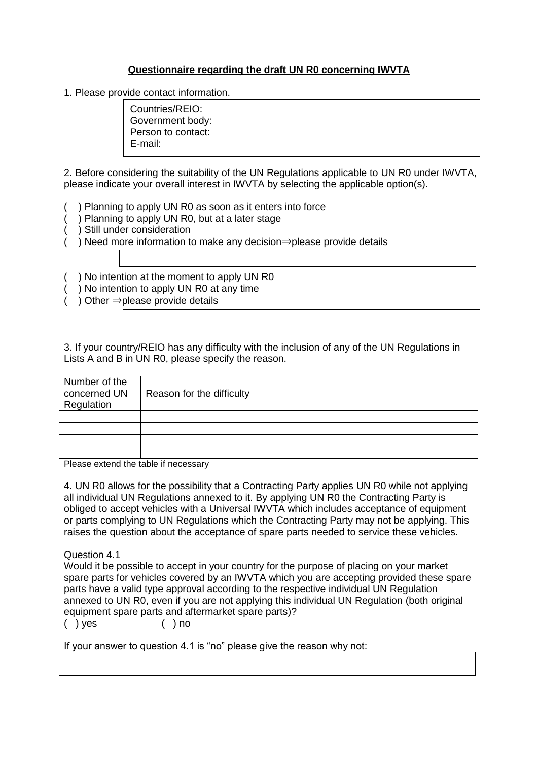## **Questionnaire regarding the draft UN R0 concerning IWVTA**

1. Please provide contact information.

Countries/REIO: Government body: Person to contact: E-mail:

2. Before considering the suitability of the UN Regulations applicable to UN R0 under IWVTA, please indicate your overall interest in IWVTA by selecting the applicable option(s).

- ( ) Planning to apply UN R0 as soon as it enters into force
- ( ) Planning to apply UN R0, but at a later stage
- ) Still under consideration
- ) Need more information to make any decision⇒please provide details
- ) No intention at the moment to apply UN R0
- ) No intention to apply UN R0 at any time
- ) Other  $\Rightarrow$  please provide details

3. If your country/REIO has any difficulty with the inclusion of any of the UN Regulations in Lists A and B in UN R0, please specify the reason.

| Number of the<br>concerned UN<br>Regulation | Reason for the difficulty |
|---------------------------------------------|---------------------------|
|                                             |                           |
|                                             |                           |
|                                             |                           |
|                                             |                           |

Please extend the table if necessary

4. UN R0 allows for the possibility that a Contracting Party applies UN R0 while not applying all individual UN Regulations annexed to it. By applying UN R0 the Contracting Party is obliged to accept vehicles with a Universal IWVTA which includes acceptance of equipment or parts complying to UN Regulations which the Contracting Party may not be applying. This raises the question about the acceptance of spare parts needed to service these vehicles.

Question 4.1

Would it be possible to accept in your country for the purpose of placing on your market spare parts for vehicles covered by an IWVTA which you are accepting provided these spare parts have a valid type approval according to the respective individual UN Regulation annexed to UN R0, even if you are not applying this individual UN Regulation (both original equipment spare parts and aftermarket spare parts)?

( ) yes ( ) no

If your answer to question 4.1 is "no" please give the reason why not: